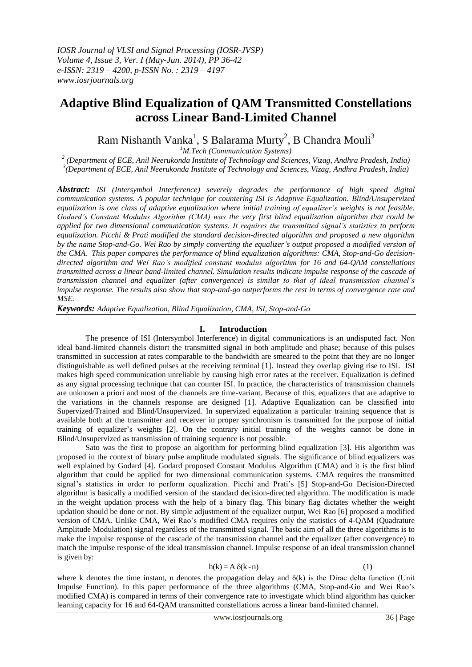# **Adaptive Blind Equalization of QAM Transmitted Constellations across Linear Band-Limited Channel**

Ram Nishanth Vanka<sup>1</sup>, S Balarama Murty<sup>2</sup>, B Chandra Mouli<sup>3</sup>

*<sup>1</sup>M.Tech (Communication Systems)*

*2 (Department of ECE, Anil Neerukonda Institute of Technology and Sciences, Vizag, Andhra Pradesh, India) 3 (Department of ECE, Anil Neerukonda Institute of Technology and Sciences, Vizag, Andhra Pradesh, India)*

*Abstract: ISI (Intersymbol Interference) severely degrades the performance of high speed digital communication systems. A popular technique for countering ISI is Adaptive Equalization. Blind/Unsupervized equalization is one class of adaptive equalization where initial training of equalizer's weights is not feasible. Godard's Constant Modulus Algorithm (CMA) was the very first blind equalization algorithm that could be applied for two dimensional communication systems. It requires the transmitted signal's statistics to perform equalization. Picchi & Prati modified the standard decision-directed algorithm and proposed a new algorithm by the name Stop-and-Go. Wei Rao by simply converting the equalizer's output proposed a modified version of the CMA. This paper compares the performance of blind equalization algorithms: CMA, Stop-and-Go decisiondirected algorithm and Wei Rao's modified constant modulus algorithm for 16 and 64-QAM constellations transmitted across a linear band-limited channel. Simulation results indicate impulse response of the cascade of transmission channel and equalizer (after convergence) is similar to that of ideal transmission channel's impulse response. The results also show that stop-and-go outperforms the rest in terms of convergence rate and MSE.* 

*Keywords: Adaptive Equalization, Blind Equalization, CMA, ISI, Stop-and-Go*

## **I. Introduction**

The presence of ISI (Intersymbol Interference) in digital communications is an undisputed fact. Non ideal band-limited channels distort the transmitted signal in both amplitude and phase; because of this pulses transmitted in succession at rates comparable to the bandwidth are smeared to the point that they are no longer distinguishable as well defined pulses at the receiving terminal [1]. Instead they overlap giving rise to ISI. ISI makes high speed communication unreliable by causing high error rates at the receiver. Equalization is defined as any signal processing technique that can counter ISI. In practice, the characteristics of transmission channels are unknown a priori and most of the channels are time-variant. Because of this, equalizers that are adaptive to the variations in the channels response are designed [1]. Adaptive Equalization can be classified into Supervized/Trained and Blind/Unsupervized. In supervized equalization a particular training sequence that is available both at the transmitter and receiver in proper synchronism is transmitted for the purpose of initial training of equalizer's weights [2]. On the contrary initial training of the weights cannot be done in Blind/Unsupervized as transmission of training sequence is not possible.

Sato was the first to propose an algorithm for performing blind equalization [3]. His algorithm was proposed in the context of binary pulse amplitude modulated signals. The significance of blind equalizers was well explained by Godard [4]. Godard proposed Constant Modulus Algorithm (CMA) and it is the first blind algorithm that could be applied for two dimensional communication systems. CMA requires the transmitted signal's statistics in order to perform equalization. Picchi and Prati's [5] Stop-and-Go Decision-Directed algorithm is basically a modified version of the standard decision-directed algorithm. The modification is made in the weight updation process with the help of a binary flag. This binary flag dictates whether the weight updation should be done or not. By simple adjustment of the equalizer output, Wei Rao [6] proposed a modified version of CMA. Unlike CMA, Wei Rao's modified CMA requires only the statistics of 4-QAM (Quadrature Amplitude Modulation) signal regardless of the transmitted signal. The basic aim of all the three algorithms is to make the impulse response of the cascade of the transmission channel and the equalizer (after convergence) to match the impulse response of the ideal transmission channel. Impulse response of an ideal transmission channel<br>
is given by:<br>  $h(k) = A \delta(k-n)$  (1) is given by:

$$
(\mathbf{k}) = \mathbf{A} \, \delta(\mathbf{k} - \mathbf{n})
$$

where k denotes the time instant, n denotes the propagation delay and  $\delta(k)$  is the Dirac delta function (Unit Impulse Function). In this paper performance of the three algorithms (CMA, Stop-and-Go and Wei Rao's modified CMA) is compared in terms of their convergence rate to investigate which blind algorithm has quicker learning capacity for 16 and 64-QAM transmitted constellations across a linear band-limited channel.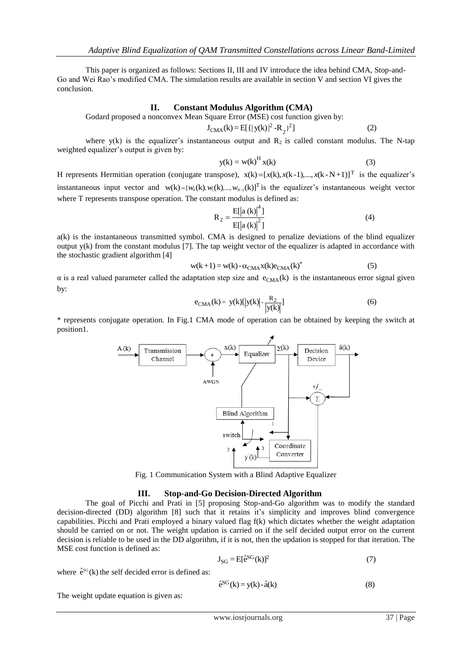This paper is organized as follows: Sections II, III and IV introduce the idea behind CMA, Stop-and-Go and Wei Rao's modified CMA. The simulation results are available in section V and section VI gives the conclusion.

## **II. Constant Modulus Algorithm (CMA)**

Godard proposed a nonconvex Mean Square Error (MSE) cost function given by: **II.** Constant Modulus Algorithm (CMA)<br>posed a nonconvex Mean Square Error (MSE) cost function given by:<br> $J_{CMA}(k) = E[{||y(k)|}^2 - R_2]^2]$  (2)

$$
J_{CMA}(k) = E[{||y(k)|^2 - R_2}^2]
$$
 (2)

where  $y(k)$  is the equalizer's instantaneous output and  $R_2$  is called constant modulus. The N-tap weighted equalizer's output is given by:

$$
y(k) = w(k)^{H} x(k)
$$
 (3)

H represents Hermitian operation (conjugate transpose),  $x(k) = [x(k), x(k-1),...,x(k-N+1)]^T$  is the equalizer's instantaneous input vector and w(k)=[ $w_0$ (k),  $w_1$ (k),...,  $w_{N-1}$ (k)]<sup>T</sup> is the equalizer's instantaneous weight vector where T represents transpose operation. The constant modulus is defined as:<br> $R_2 = \frac{E[|a(k)|^4]}{R_2$ where T represents transpose operation. The constant modulus is defined as: Example vector and  $w(x) = [w_0(x), w_1(x), ..., w_{N-1}(x)]$  is the equalizer s instantaneous with<br>resents transpose operation. The constant modulus is defined as:<br> $R_2 = \frac{E[|a(k)|^4]}{E[|a(k)|^2]}$  (4)

tant modulus is defined as:  
\n
$$
R_2 = \frac{E[|a(k)|^4]}{E[|a(k)|^2]}
$$
\n
$$
M_1 = \frac{E[|a(k)|^2]}{E[|a(k)|^2]}
$$
\n(4)

a(k) is the instantaneous transmitted symbol. CMA is designed to penalize deviations of the blind equalizer output y(k) from the constant modulus [7]. The tap weight vector of the equalizer is adapted in accordance with the stochastic gradient algorithm [4] instantaneous transmitted symbol. CMA is designed to penalize deviations of the blin<br>from the constant modulus [7]. The tap weight vector of the equalizer is adapted in accor<br>ic gradient algorithm [4]<br> $w(k+1) = w(k) - \alpha_{CMA}x(k)e$ 

$$
w(k+1) = w(k) - \alpha_{\text{CMA}}x(k)e_{\text{CMA}}(k)^{*}
$$
\n(5)

α is a real valued parameter called the adaptation step size and  $e_{CMA}(k)$  is the instantaneous error signal given<br>by:<br> $e_{CMA}(k) = y(k)[y(k)] - \frac{R_2}{[y(k)]}$  (6) by:

$$
e_{CMA}(k) = y(k)[|y(k)| - \frac{R_2}{|y(k)|}]
$$
 (6)

\* represents conjugate operation. In Fig.1 CMA mode of operation can be obtained by keeping the switch at position1.



Fig. 1 Communication System with a Blind Adaptive Equalizer

### **III. Stop-and-Go Decision-Directed Algorithm**

The goal of Picchi and Prati in [5] proposing Stop-and-Go algorithm was to modify the standard decision-directed (DD) algorithm [8] such that it retains it's simplicity and improves blind convergence capabilities. Picchi and Prati employed a binary valued flag f(k) which dictates whether the weight adaptation should be carried on or not. The weight updation is carried on if the self decided output error on the current should be carried on or not. The weight updation is carried on if the self decided output error on the current decision is reliable to be used in the DD algorithm, if it is not, then the updation is stopped for that itera MSE cost function is defined as:

$$
J_{SG} = E[\hat{e}^{SG}(k)]^2
$$
\n(7)\n
$$
\hat{e}^{SG}(k) = y(k) - \hat{a}(k)
$$
\n(8)

where  $\hat{e}^{sG}(k)$  the self decided error is defined as:

$$
J_{SG} = E[e^{SG}(k)]^{2}
$$
 (7)  
elf decided error is defined as:  

$$
\hat{e}^{SG}(k) = y(k) - \hat{a}(k)
$$
 (8)

The weight update equation is given as: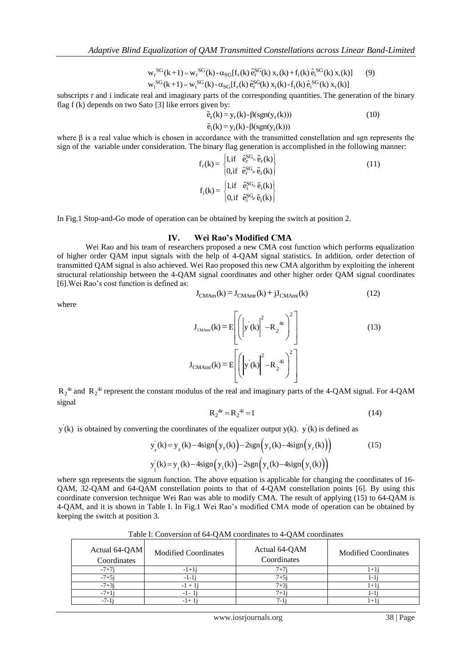*ualization of QAM Transmitted Constellations across*<br>  $S^G(k+1) = w_r^{SG}(k) - \alpha_{SG}[f_r(k) \hat{e}_r^{SG}(k) x_r(k) + f_i(k) \hat{e}_i^{SG}(k) x_r(k)]$  $S_r^{SG}(k+1) = w_r^{SG}(k) - \alpha_{SG}[f_r(k)]e_r^{SG}(k+1) = w_i^{SG}(k) - \alpha_{SG}[f_r(k)]e_r^{SG}(k)$ Adaptive Blind Equalization of QAM Transmitted Constellations across Linear Bo<br>  $w_r^{SG}(k+1) = w_r^{SG}(k) - \alpha_{SG}[f_r(k) \hat{e}_r^{SG}(k) x_r(k) + f_i(k) \hat{e}_i^{SG}(k) x_i(k)]$  (9)<br>  $w_{SG}(k+1) = w_s^{SG}(k) - \alpha_{SG}[f_r(k) \hat{e}_i^{SG}(k) x_i(k) + f_i(k) \hat{e}_i^{SG}(k) x_i(k)]$ Supplye Bind Equalization of GAM Transmitted Constetiations across Einear Band-Einited<br>  $w_r^{SG}(k+1) = w_r^{SG}(k) - \alpha_{SG}[f_r(k) \hat{e}_r^{SG}(k) x_r(k) + f_i(k) \hat{e}_i^{SG}(k) x_i(k)]$ <br>  $w_i^{SG}(k+1) = w_i^{SG}(k) - \alpha_{SG}[f_r(k) \hat{e}_i^{SG}(k) x_i(k) - f_i(k) \hat{e}_i^{SG}(k) x_r(k)]$ <br>
s  $= w_r^{\text{SG}}(k) - \alpha$  $= w_i^{SG}(k) - \alpha$  $\frac{S^G(k) x_r(k) + f_i(k) \hat{e}_i^{SG}(k) x_i(k)}{G(k) x_i(k) - f_i(k) \hat{e}_i^{SG}(k) x_r(k)}$ 

flag f (k) depends on two Sato [3] like errors given by:  $w_i^{y}$ <sup>(k)</sup> =  $w_i^{y}$ <sup>(k)</sup> - α<sub>SG</sub>[t<sub>r</sub>(k) e<sup>o</sup><sub>f</sub><sup>o</sup>(k) x<sub>i</sub>(k)-t<sub>i</sub>(k) e<sup>o</sup><sub>f</sub><sup>o</sup>(k) x<sub>r</sub>(k)]<br>
r and i indicate real and imaginary parts of the corresponding quantities. The generation of<br>
epends on two Sato [3] like

where  $\beta$  is a real value which is chosen in accordance with the transmitted constellation and sgn represents the sign of the variable under consideration. The binary flag generation is accomplished in the following mann where  $\beta$  is a real value which is chosen in accordance with the transmitted constellation and sgn represents t<br>sign of the variable under consideration. The binary flag generation is accomplished in the following manner

The binary flag generation is accomplished in the following r  
\n
$$
f_r(k) = \begin{cases} 1, \text{if } \hat{e}_r^{SG} = \tilde{e}_r(k) \\ 0, \text{if } \hat{e}_r^{SG} \neq \tilde{e}_r(k) \end{cases}
$$
\n
$$
f_i(k) = \begin{cases} 1, \text{if } \hat{e}_i^{SG} = \tilde{e}_i(k) \\ 0, \text{if } \hat{e}_i^{SG} \neq \tilde{e}_i(k) \end{cases}
$$
\n(11)

In Fig.1 Stop-and-Go mode of operation can be obtained by keeping the switch at position 2.

#### **IV. Wei Rao's Modified CMA**

Wei Rao and his team of researchers proposed a new CMA cost function which performs equalization of higher order QAM input signals with the help of 4-QAM signal statistics. In addition, order detection of transmitted QAM signal is also achieved. Wei Rao proposed this new CMA algorithm by exploiting the inherent structural relationship between the 4-QAM signal coordinates and other higher order QAM signal coordinates [6].Wei Rao's cost function is defined as: gnal is also achieved. Wei Rao proposed this new CMA algorithm by exploiting the between the 4-QAM signal coordinates and other higher order QAM signal cunction is defined as:<br> $J_{CMAm}(k) = J_{CMAm}(k) + jJ_{CMAm}(k)$  (12)

where

$$
J_{\text{CMAm}}(k) - J_{\text{CMAmr}}(k) + J_{\text{CMAmi}}(k) \tag{12}
$$

ed as:  
\n
$$
J_{CMAm}(k) = J_{CMAmr}(k) + jJ_{CMAmi}(k)
$$
\n(12)  
\n
$$
J_{CMAmr}(k) = E\left[\left(\left|y'(k)\right|^2 - R_2^{4r}\right)^2\right]
$$
\n(13)  
\n
$$
J_{CMAmi}(k) = E\left[\left(\left|y'(k)\right|^2 - R_2^{4i}\right)^2\right]
$$

 $R_2^{4r}$  and  $R_2^{4i}$  represent the constant modulus of the real and imaginary parts of the 4-QAM signal. For 4-QAM signal<br>  $R_2^{4r} = R_2^{4i} = 1$  (14) signal  $\lbrack \cdot \cdot \cdot \cdot \cdot \cdot \cdot \cdot \rbrack$ <br>
2<sup>4r</sup> and R<sub>2</sub><sup>4i</sup> represent the constant modulus of the real and imaginary parts of the 4-QAM signal. For example 149<br>  $R_2^{4r} = R_2^{4i} = 1$  (14)

$$
R_2^{4r} = R_2^{4i} = 1\tag{14}
$$

$$
x_2 = x_2 - 1
$$
\n
$$
y(k)
$$
 is obtained by converting the coordinates of the equalizer output  $y(k)$ .  $y'(k)$  is defined as\n
$$
y'_r(k) = y_r(k) - 4\text{sign}(y_r(k)) - 2\text{sgn}(y_r(k) - 4\text{sign}(y_r(k)))
$$
\n
$$
y'_i(k) = y_i(k) - 4\text{sign}(y_i(k)) - 2\text{sgn}(y_i(k) - 4\text{sign}(y_i(k)))
$$
\n(15)

where sgn represents the signum function. The above equation is applicable for changing the coordinates of 16- QAM, 32-QAM and 64-QAM constellation points to that of 4-QAM constellation points [6]. By using this coordinate conversion technique Wei Rao was able to modify CMA. The result of applying (15) to 64-QAM is 4-QAM, and it is shown in Table I. In Fig.1 Wei Rao's modified CMA mode of operation can be obtained by keeping the switch at position 3.

| Table I: Conversion of 64-QAM coordinates to 4-QAM coordinates |  |  |
|----------------------------------------------------------------|--|--|
|                                                                |  |  |

| Actual 64-QAM<br>Coordinates | <b>Modified Coordinates</b> | Actual 64-QAM<br>Coordinates | <b>Modified Coordinates</b> |
|------------------------------|-----------------------------|------------------------------|-----------------------------|
| $-7+7i$                      | $-1+1i$                     | $7 + 7i$                     | $1+1$                       |
| $-7+5i$                      | $-1-1i$                     | $7 + 5i$                     | 1-1                         |
| $-7+3i$                      | $-1 + i$                    | $7 + 3i$                     | $^{1+}$                     |
| $-7+1i$                      | $-1-1i$                     | $7 + 11$                     | 1-1                         |
| $-7-1i$                      | $-1+1$                      |                              | $1 + 1$                     |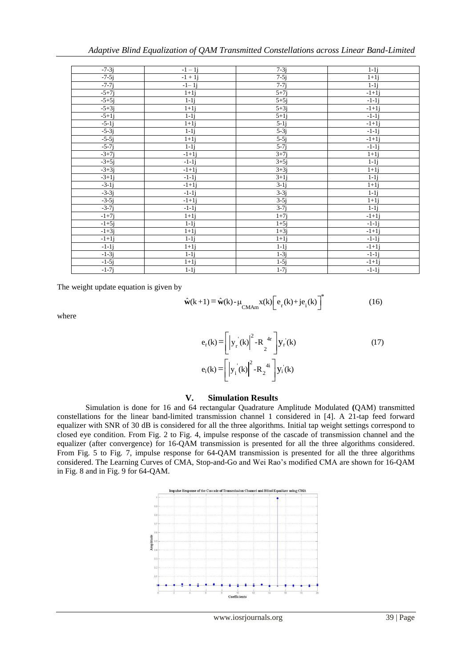| $-7-3i$ | $-1 - 1j$ | $7-3j$             | $1-1j$            |
|---------|-----------|--------------------|-------------------|
| $-7-5j$ | $-1 + 1j$ | $7-5j$             | $1+1i$            |
| $-7-7j$ | $-1-1j$   | $7-7i$             | $1-1j$            |
| $-5+7j$ | $1+1j$    | $5+7j$             | $-1+1i$           |
| $-5+5j$ | $1-1j$    | $5+5j$             | $-1-1i$           |
| $-5+3j$ | $1+1j$    | $5+3j$             | $-1+1j$           |
| $-5+1i$ | $1-1j$    | $5+1i$             | $-1-1i$           |
| $-5-1j$ | $1+1j$    | $5-1j$             | $-1+1j$           |
| $-5-3j$ | $1-1j$    | $5-3j$             | $-1-1j$           |
| $-5-5j$ | $1+1i$    | $5-5j$             | $-1+1j$           |
| $-5-7j$ | $1-1j$    | $5-7i$             | $-1-1j$           |
| $-3+7j$ | $-1+1i$   | $3+7i$             | $1+1j$            |
| $-3+5j$ | $-1-1i$   | $3+5j$             | $1-1j$            |
| $-3+3j$ | $-1+1j$   | $3+3j$             | $1+1j$            |
| $-3+1i$ | $-1-1i$   | $3+1i$             | $1-1i$            |
| $-3-1j$ | $-1+1j$   | $\overline{3}$ -1j | $\overline{1}+1j$ |
| $-3-3j$ | $-1-1j$   | $3-3j$             | $1-1j$            |
| $-3-5j$ | $-1+1j$   | $3-5j$             | $1+1j$            |
| $-3-7i$ | $-1-1j$   | $3-7i$             | $1-1i$            |
| $-1+7i$ | $1+1j$    | $1+7i$             | $-1+1j$           |
| $-1+5j$ | $1-1j$    | $1+5j$             | $-1-1j$           |
| $-1+3j$ | $1+1i$    | $1+3j$             | $-1+1j$           |
| $-1+1i$ | $1-1j$    | $1+1i$             | $-1-1i$           |
| $-1-1j$ | $1+1j$    | $1-1j$             | $-1+1j$           |
| $-1-3j$ | $1-1j$    | $1-3i$             | $-1-1i$           |
| $-1-5j$ | $1+1j$    | $1-5j$             | $-1+1j$           |
| $-1-7j$ | $1-1j$    | $1-7j$             | $-1-1j$           |

The weight update equation is given by

$$
\begin{array}{c|c}\n\hline\n1 - 7j & 1-1j & 1-1j \\
\hline\n1 - 7j & 1-1j & 1-7j & -1-1j \\
\hline\n\end{array}
$$
\nat update equation is given by

\n
$$
\hat{\mathbf{w}}(k+1) = \hat{\mathbf{w}}(k) - \mu_{\text{CMAm}} \mathbf{x}(k) \left[ e_r(k) + je_i(k) \right]^* \tag{16}
$$

where

$$
\hat{\mathbf{w}}(k+1) = \hat{\mathbf{w}}(k) - \mu_{\text{CMAm}} \mathbf{x}(k) \left[ e_r(k) + je_i(k) \right]
$$
\n
$$
e_r(k) = \left[ \left| y_r(k) \right|^2 - R_2^{4r} \right] y_r(k)
$$
\n
$$
e_i(k) = \left[ \left| y_i(k) \right|^2 - R_2^{4i} \right] y_i(k)
$$
\n(17)

#### **V. Simulation Results**

Simulation is done for 16 and 64 rectangular Quadrature Amplitude Modulated **(**QAM) transmitted constellations for the linear band-limited transmission channel 1 considered in [4]. A 21-tap feed forward equalizer with SNR of 30 dB is considered for all the three algorithms. Initial tap weight settings correspond to closed eye condition. From Fig. 2 to Fig. 4, impulse response of the cascade of transmission channel and the equalizer (after convergence) for 16-QAM transmission is presented for all the three algorithms considered. From Fig. 5 to Fig. 7, impulse response for 64-QAM transmission is presented for all the three algorithms considered. The Learning Curves of CMA, Stop-and-Go and Wei Rao's modified CMA are shown for 16-QAM in Fig. 8 and in Fig. 9 for 64-QAM.

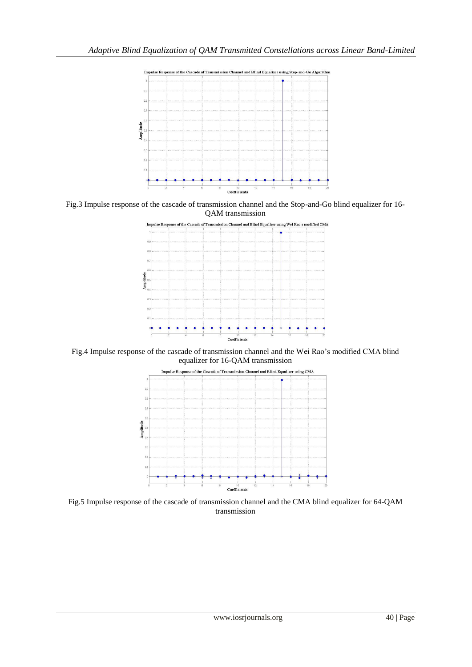

Fig.3 Impulse response of the cascade of transmission channel and the Stop-and-Go blind equalizer for 16- QAM transmission



Fig.4 Impulse response of the cascade of transmission channel and the Wei Rao's modified CMA blind equalizer for 16-QAM transmission



Fig.5 Impulse response of the cascade of transmission channel and the CMA blind equalizer for 64-QAM transmission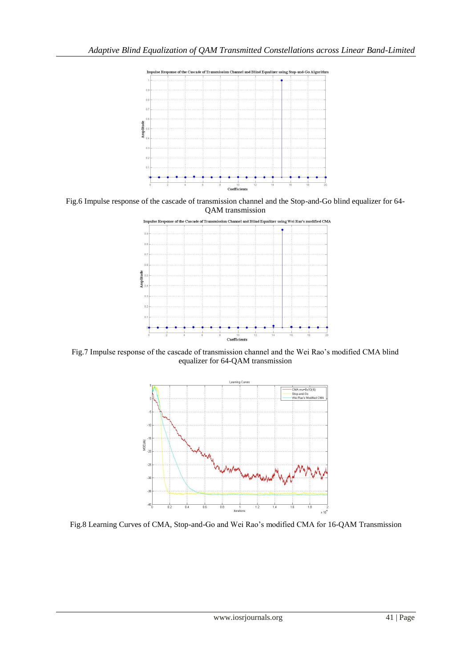

Fig.6 Impulse response of the cascade of transmission channel and the Stop-and-Go blind equalizer for 64- QAM transmission



Fig.7 Impulse response of the cascade of transmission channel and the Wei Rao's modified CMA blind equalizer for 64-QAM transmission



Fig.8 Learning Curves of CMA, Stop-and-Go and Wei Rao's modified CMA for 16-QAM Transmission